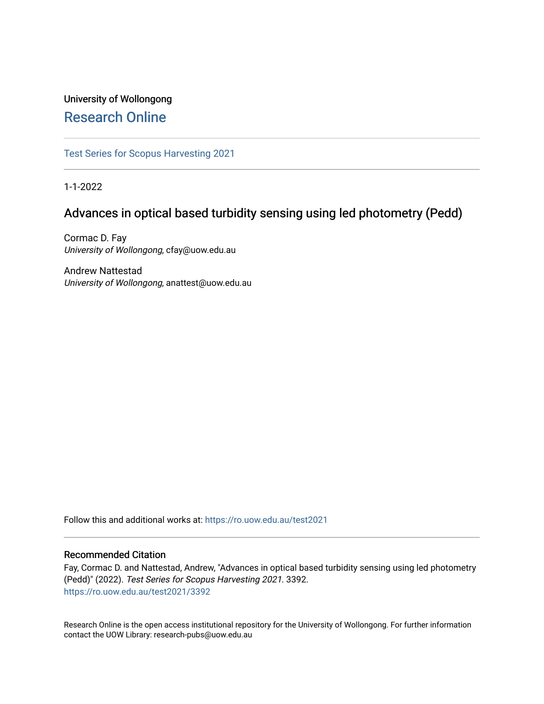# University of Wollongong [Research Online](https://ro.uow.edu.au/)

[Test Series for Scopus Harvesting 2021](https://ro.uow.edu.au/test2021) 

1-1-2022

# Advances in optical based turbidity sensing using led photometry (Pedd)

Cormac D. Fay University of Wollongong, cfay@uow.edu.au

Andrew Nattestad University of Wollongong, anattest@uow.edu.au

Follow this and additional works at: [https://ro.uow.edu.au/test2021](https://ro.uow.edu.au/test2021?utm_source=ro.uow.edu.au%2Ftest2021%2F3392&utm_medium=PDF&utm_campaign=PDFCoverPages)

# Recommended Citation

Fay, Cormac D. and Nattestad, Andrew, "Advances in optical based turbidity sensing using led photometry (Pedd)" (2022). Test Series for Scopus Harvesting 2021. 3392. [https://ro.uow.edu.au/test2021/3392](https://ro.uow.edu.au/test2021/3392?utm_source=ro.uow.edu.au%2Ftest2021%2F3392&utm_medium=PDF&utm_campaign=PDFCoverPages) 

Research Online is the open access institutional repository for the University of Wollongong. For further information contact the UOW Library: research-pubs@uow.edu.au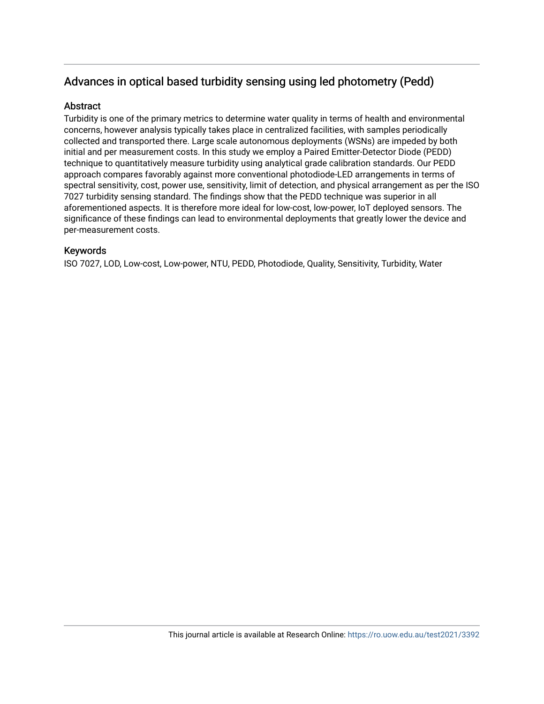# Advances in optical based turbidity sensing using led photometry (Pedd)

# **Abstract**

Turbidity is one of the primary metrics to determine water quality in terms of health and environmental concerns, however analysis typically takes place in centralized facilities, with samples periodically collected and transported there. Large scale autonomous deployments (WSNs) are impeded by both initial and per measurement costs. In this study we employ a Paired Emitter-Detector Diode (PEDD) technique to quantitatively measure turbidity using analytical grade calibration standards. Our PEDD approach compares favorably against more conventional photodiode-LED arrangements in terms of spectral sensitivity, cost, power use, sensitivity, limit of detection, and physical arrangement as per the ISO 7027 turbidity sensing standard. The findings show that the PEDD technique was superior in all aforementioned aspects. It is therefore more ideal for low-cost, low-power, IoT deployed sensors. The significance of these findings can lead to environmental deployments that greatly lower the device and per-measurement costs.

# Keywords

ISO 7027, LOD, Low-cost, Low-power, NTU, PEDD, Photodiode, Quality, Sensitivity, Turbidity, Water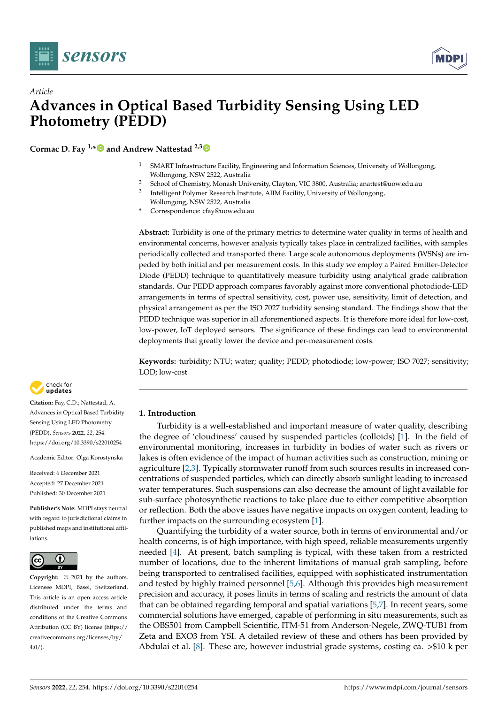



# *Article* **Advances in Optical Based Turbidity Sensing Using LED Photometry (PEDD)**

**Cormac D. Fay 1,[\\*](https://orcid.org/0000-0001-9104-5527) and Andrew Nattestad 2,[3](https://orcid.org/0000-0002-1311-8951)**

- <sup>1</sup> SMART Infrastructure Facility, Engineering and Information Sciences, University of Wollongong, Wollongong, NSW 2522, Australia
- <sup>2</sup> School of Chemistry, Monash University, Clayton, VIC 3800, Australia; anattest@uow.edu.au
- 3 Intelligent Polymer Research Institute, AIIM Facility, University of Wollongong, Wollongong, NSW 2522, Australia
- **\*** Correspondence: cfay@uow.edu.au

**Abstract:** Turbidity is one of the primary metrics to determine water quality in terms of health and environmental concerns, however analysis typically takes place in centralized facilities, with samples periodically collected and transported there. Large scale autonomous deployments (WSNs) are impeded by both initial and per measurement costs. In this study we employ a Paired Emitter-Detector Diode (PEDD) technique to quantitatively measure turbidity using analytical grade calibration standards. Our PEDD approach compares favorably against more conventional photodiode-LED arrangements in terms of spectral sensitivity, cost, power use, sensitivity, limit of detection, and physical arrangement as per the ISO 7027 turbidity sensing standard. The findings show that the PEDD technique was superior in all aforementioned aspects. It is therefore more ideal for low-cost, low-power, IoT deployed sensors. The significance of these findings can lead to environmental deployments that greatly lower the device and per-measurement costs.

**Keywords:** turbidity; NTU; water; quality; PEDD; photodiode; low-power; ISO 7027; sensitivity; LOD; low-cost



**Citation:** Fay, C.D.; Nattestad, A. Advances in Optical Based Turbidity Sensing Using LED Photometry (PEDD). *Sensors* **2022**, *22*, 254. <https://doi.org/10.3390/s22010254>

Academic Editor: Olga Korostynska

Received: 6 December 2021 Accepted: 27 December 2021 Published: 30 December 2021

**Publisher's Note:** MDPI stays neutral with regard to jurisdictional claims in published maps and institutional affiliations.



**Copyright:** © 2021 by the authors. Licensee MDPI, Basel, Switzerland. This article is an open access article distributed under the terms and conditions of the Creative Commons Attribution (CC BY) license [\(https://](https://creativecommons.org/licenses/by/4.0/) [creativecommons.org/licenses/by/](https://creativecommons.org/licenses/by/4.0/)  $4.0/$ 

# **1. Introduction**

Turbidity is a well-established and important measure of water quality, describing the degree of 'cloudiness' caused by suspended particles (colloids) [\[1\]](#page-13-0). In the field of environmental monitoring, increases in turbidity in bodies of water such as rivers or lakes is often evidence of the impact of human activities such as construction, mining or agriculture [\[2](#page-13-1)[,3\]](#page-13-2). Typically stormwater runoff from such sources results in increased concentrations of suspended particles, which can directly absorb sunlight leading to increased water temperatures. Such suspensions can also decrease the amount of light available for sub-surface photosynthetic reactions to take place due to either competitive absorption or reflection. Both the above issues have negative impacts on oxygen content, leading to further impacts on the surrounding ecosystem [\[1\]](#page-13-0).

Quantifying the turbidity of a water source, both in terms of environmental and/or health concerns, is of high importance, with high speed, reliable measurements urgently needed [\[4\]](#page-13-3). At present, batch sampling is typical, with these taken from a restricted number of locations, due to the inherent limitations of manual grab sampling, before being transported to centralised facilities, equipped with sophisticated instrumentation and tested by highly trained personnel [\[5](#page-13-4)[,6\]](#page-13-5). Although this provides high measurement precision and accuracy, it poses limits in terms of scaling and restricts the amount of data that can be obtained regarding temporal and spatial variations [\[5,](#page-13-4)[7\]](#page-13-6). In recent years, some commercial solutions have emerged, capable of performing in situ measurements, such as the OBS501 from Campbell Scientific, ITM-51 from Anderson-Negele, ZWQ-TUB1 from Zeta and EXO3 from YSI. A detailed review of these and others has been provided by Abdulai et al. [\[8\]](#page-13-7). These are, however industrial grade systems, costing ca. >\$10 k per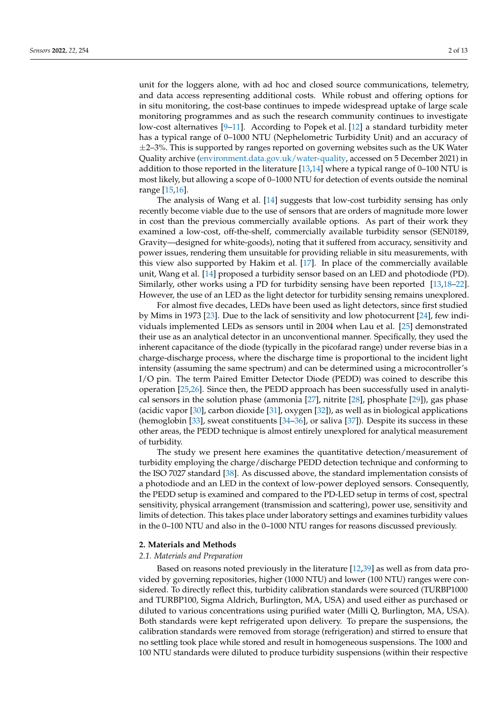unit for the loggers alone, with ad hoc and closed source communications, telemetry, and data access representing additional costs. While robust and offering options for in situ monitoring, the cost-base continues to impede widespread uptake of large scale monitoring programmes and as such the research community continues to investigate low-cost alternatives [\[9–](#page-13-8)[11\]](#page-13-9). According to Popek et al. [\[12\]](#page-13-10) a standard turbidity meter has a typical range of 0–1000 NTU (Nephelometric Turbidity Unit) and an accuracy of  $\pm$ 2–3%. This is supported by ranges reported on governing websites such as the UK Water Quality archive [\(environment.data.gov.uk/water-quality,](environment.data.gov.uk/water-quality) accessed on 5 December 2021) in addition to those reported in the literature  $[13,14]$  $[13,14]$  where a typical range of 0–100 NTU is most likely, but allowing a scope of 0–1000 NTU for detection of events outside the nominal range [\[15,](#page-13-13)[16\]](#page-13-14).

The analysis of Wang et al. [\[14\]](#page-13-12) suggests that low-cost turbidity sensing has only recently become viable due to the use of sensors that are orders of magnitude more lower in cost than the previous commercially available options. As part of their work they examined a low-cost, off-the-shelf, commercially available turbidity sensor (SEN0189, Gravity—designed for white-goods), noting that it suffered from accuracy, sensitivity and power issues, rendering them unsuitable for providing reliable in situ measurements, with this view also supported by Hakim et al. [\[17\]](#page-13-15). In place of the commercially available unit, Wang et al. [\[14\]](#page-13-12) proposed a turbidity sensor based on an LED and photodiode (PD). Similarly, other works using a PD for turbidity sensing have been reported [\[13](#page-13-11)[,18](#page-13-16)[–22\]](#page-13-17). However, the use of an LED as the light detector for turbidity sensing remains unexplored.

For almost five decades, LEDs have been used as light detectors, since first studied by Mims in 1973 [\[23\]](#page-13-18). Due to the lack of sensitivity and low photocurrent [\[24\]](#page-13-19), few individuals implemented LEDs as sensors until in 2004 when Lau et al. [\[25\]](#page-13-20) demonstrated their use as an analytical detector in an unconventional manner. Specifically, they used the inherent capacitance of the diode (typically in the picofarad range) under reverse bias in a charge-discharge process, where the discharge time is proportional to the incident light intensity (assuming the same spectrum) and can be determined using a microcontroller's I/O pin. The term Paired Emitter Detector Diode (PEDD) was coined to describe this operation [\[25,](#page-13-20)[26\]](#page-13-21). Since then, the PEDD approach has been successfully used in analytical sensors in the solution phase (ammonia [\[27\]](#page-13-22), nitrite [\[28\]](#page-13-23), phosphate [\[29\]](#page-13-24)), gas phase (acidic vapor [\[30\]](#page-13-25), carbon dioxide [\[31\]](#page-14-0), oxygen [\[32\]](#page-14-1)), as well as in biological applications (hemoglobin [\[33\]](#page-14-2), sweat constituents [\[34](#page-14-3)[–36\]](#page-14-4), or saliva [\[37\]](#page-14-5)). Despite its success in these other areas, the PEDD technique is almost entirely unexplored for analytical measurement of turbidity.

The study we present here examines the quantitative detection/measurement of turbidity employing the charge/discharge PEDD detection technique and conforming to the ISO 7027 standard [\[38\]](#page-14-6). As discussed above, the standard implementation consists of a photodiode and an LED in the context of low-power deployed sensors. Consequently, the PEDD setup is examined and compared to the PD-LED setup in terms of cost, spectral sensitivity, physical arrangement (transmission and scattering), power use, sensitivity and limits of detection. This takes place under laboratory settings and examines turbidity values in the 0–100 NTU and also in the 0–1000 NTU ranges for reasons discussed previously.

### **2. Materials and Methods**

## *2.1. Materials and Preparation*

Based on reasons noted previously in the literature [\[12,](#page-13-10)[39\]](#page-14-7) as well as from data provided by governing repositories, higher (1000 NTU) and lower (100 NTU) ranges were considered. To directly reflect this, turbidity calibration standards were sourced (TURBP1000 and TURBP100, Sigma Aldrich, Burlington, MA, USA) and used either as purchased or diluted to various concentrations using purified water (Milli Q, Burlington, MA, USA). Both standards were kept refrigerated upon delivery. To prepare the suspensions, the calibration standards were removed from storage (refrigeration) and stirred to ensure that no settling took place while stored and result in homogeneous suspensions. The 1000 and 100 NTU standards were diluted to produce turbidity suspensions (within their respective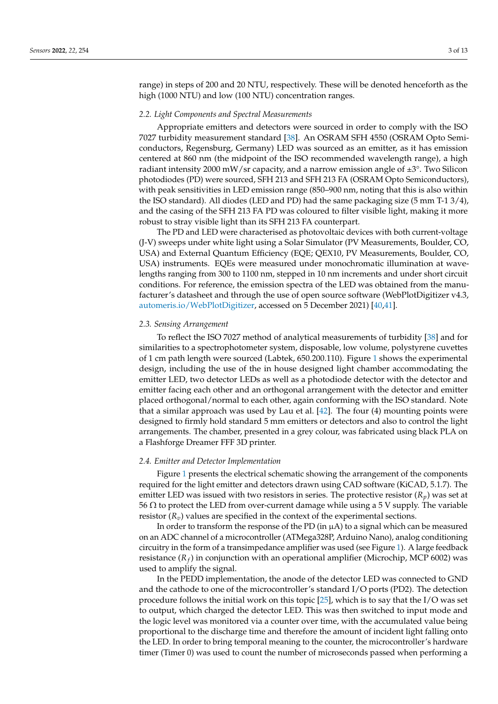range) in steps of 200 and 20 NTU, respectively. These will be denoted henceforth as the high (1000 NTU) and low (100 NTU) concentration ranges.

#### *2.2. Light Components and Spectral Measurements*

Appropriate emitters and detectors were sourced in order to comply with the ISO 7027 turbidity measurement standard [\[38\]](#page-14-6). An OSRAM SFH 4550 (OSRAM Opto Semiconductors, Regensburg, Germany) LED was sourced as an emitter, as it has emission centered at 860 nm (the midpoint of the ISO recommended wavelength range), a high radiant intensity 2000 mW/sr capacity, and a narrow emission angle of  $\pm 3^{\circ}$ . Two Silicon photodiodes (PD) were sourced, SFH 213 and SFH 213 FA (OSRAM Opto Semiconductors), with peak sensitivities in LED emission range (850–900 nm, noting that this is also within the ISO standard). All diodes (LED and PD) had the same packaging size (5 mm T-1 3/4), and the casing of the SFH 213 FA PD was coloured to filter visible light, making it more robust to stray visible light than its SFH 213 FA counterpart.

The PD and LED were characterised as photovoltaic devices with both current-voltage (J-V) sweeps under white light using a Solar Simulator (PV Measurements, Boulder, CO, USA) and External Quantum Efficiency (EQE; QEX10, PV Measurements, Boulder, CO, USA) instruments. EQEs were measured under monochromatic illumination at wavelengths ranging from 300 to 1100 nm, stepped in 10 nm increments and under short circuit conditions. For reference, the emission spectra of the LED was obtained from the manufacturer's datasheet and through the use of open source software (WebPlotDigitizer v4.3, [automeris.io/WebPlotDigitizer,](automeris.io/WebPlotDigitizer) accessed on 5 December 2021) [\[40,](#page-14-8)[41\]](#page-14-9).

### *2.3. Sensing Arrangement*

To reflect the ISO 7027 method of analytical measurements of turbidity [\[38\]](#page-14-6) and for similarities to a spectrophotometer system, disposable, low volume, polystyrene cuvettes of 1 cm path length were sourced (Labtek, 650.200.110). Figure [1](#page-5-0) shows the experimental design, including the use of the in house designed light chamber accommodating the emitter LED, two detector LEDs as well as a photodiode detector with the detector and emitter facing each other and an orthogonal arrangement with the detector and emitter placed orthogonal/normal to each other, again conforming with the ISO standard. Note that a similar approach was used by Lau et al.  $[42]$ . The four  $(4)$  mounting points were designed to firmly hold standard 5 mm emitters or detectors and also to control the light arrangements. The chamber, presented in a grey colour, was fabricated using black PLA on a Flashforge Dreamer FFF 3D printer.

### *2.4. Emitter and Detector Implementation*

Figure [1](#page-5-0) presents the electrical schematic showing the arrangement of the components required for the light emitter and detectors drawn using CAD software (KiCAD, 5.1.7). The emitter LED was issued with two resistors in series. The protective resistor  $(R_p)$  was set at 56 Ω to protect the LED from over-current damage while using a 5 V supply. The variable resistor  $(R_v)$  values are specified in the context of the experimental sections.

In order to transform the response of the PD (in  $\mu$ A) to a signal which can be measured on an ADC channel of a microcontroller (ATMega328P, Arduino Nano), analog conditioning circuitry in the form of a transimpedance amplifier was used (see Figure [1\)](#page-5-0). A large feedback resistance (*R<sup>f</sup>* ) in conjunction with an operational amplifier (Microchip, MCP 6002) was used to amplify the signal.

In the PEDD implementation, the anode of the detector LED was connected to GND and the cathode to one of the microcontroller's standard I/O ports (PD2). The detection procedure follows the initial work on this topic [\[25\]](#page-13-20), which is to say that the I/O was set to output, which charged the detector LED. This was then switched to input mode and the logic level was monitored via a counter over time, with the accumulated value being proportional to the discharge time and therefore the amount of incident light falling onto the LED. In order to bring temporal meaning to the counter, the microcontroller's hardware timer (Timer 0) was used to count the number of microseconds passed when performing a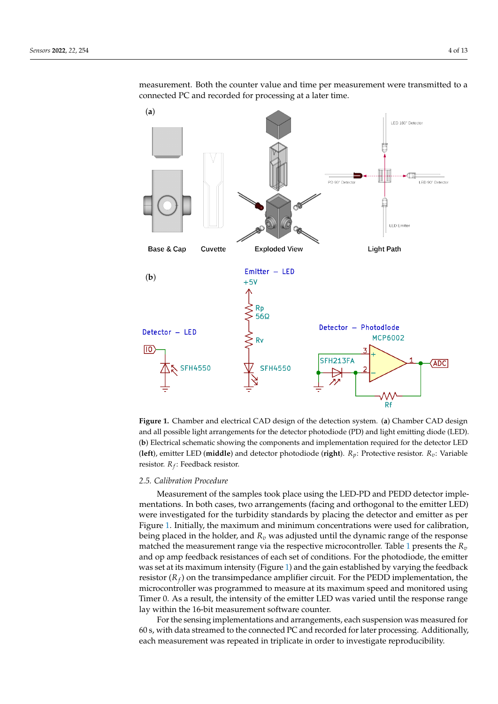measurement. Both the counter value and time per measurement were transmitted to a connected PC and recorded for processing at a later time.

<span id="page-5-0"></span>

**Figure 1.** Chamber and electrical CAD design of the detection system. (**a**) Chamber CAD design and all possible light arrangements for the detector photodiode (PD) and light emitting diode (LED). (**b**) Electrical schematic showing the components and implementation required for the detector LED (**left**), emitter LED (**middle**) and detector photodiode (**right**). *Rp*: Protective resistor. *Rv*: Variable resistor. *R<sup>f</sup>* : Feedback resistor.

# *2.5. Calibration Procedure*

Measurement of the samples took place using the LED-PD and PEDD detector implementations. In both cases, two arrangements (facing and orthogonal to the emitter LED) were investigated for the turbidity standards by placing the detector and emitter as per Figure [1.](#page-5-0) Initially, the maximum and minimum concentrations were used for calibration, being placed in the holder, and *R<sup>v</sup>* was adjusted until the dynamic range of the response matched the measurement range via the respective microcontroller. Table [1](#page-6-0) presents the *R<sup>v</sup>* and op amp feedback resistances of each set of conditions. For the photodiode, the emitter was set at its maximum intensity (Figure [1\)](#page-5-0) and the gain established by varying the feedback resistor (*R<sup>f</sup>* ) on the transimpedance amplifier circuit. For the PEDD implementation, the microcontroller was programmed to measure at its maximum speed and monitored using Timer 0. As a result, the intensity of the emitter LED was varied until the response range lay within the 16-bit measurement software counter.

For the sensing implementations and arrangements, each suspension was measured for 60 s, with data streamed to the connected PC and recorded for later processing. Additionally, each measurement was repeated in triplicate in order to investigate reproducibility.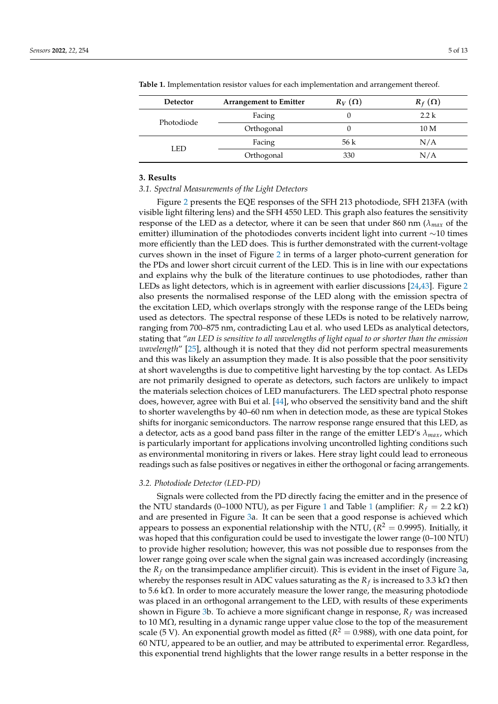| <b>Detector</b> | <b>Arrangement to Emitter</b> | $R_V(\Omega)$ | $R_f(\Omega)$   |
|-----------------|-------------------------------|---------------|-----------------|
| Photodiode      | Facing                        |               | 2.2 k           |
|                 | Orthogonal                    |               | 10 <sub>M</sub> |
| <b>LED</b>      | Facing                        | 56 k          | N/A             |
|                 | Orthogonal                    | 330           | N/A             |

<span id="page-6-0"></span>**Table 1.** Implementation resistor values for each implementation and arrangement thereof.

# **3. Results**

#### *3.1. Spectral Measurements of the Light Detectors*

Figure [2](#page-7-0) presents the EQE responses of the SFH 213 photodiode, SFH 213FA (with visible light filtering lens) and the SFH 4550 LED. This graph also features the sensitivity response of the LED as a detector, where it can be seen that under 860 nm (*λmax* of the emitter) illumination of the photodiodes converts incident light into current  $\sim$ 10 times more efficiently than the LED does. This is further demonstrated with the current-voltage curves shown in the inset of Figure [2](#page-7-0) in terms of a larger photo-current generation for the PDs and lower short circuit current of the LED. This is in line with our expectations and explains why the bulk of the literature continues to use photodiodes, rather than LEDs as light detectors, which is in agreement with earlier discussions [\[24](#page-13-19)[,43\]](#page-14-11). Figure [2](#page-7-0) also presents the normalised response of the LED along with the emission spectra of the excitation LED, which overlaps strongly with the response range of the LEDs being used as detectors. The spectral response of these LEDs is noted to be relatively narrow, ranging from 700–875 nm, contradicting Lau et al. who used LEDs as analytical detectors, stating that "*an LED is sensitive to all wavelengths of light equal to or shorter than the emission wavelength*" [\[25\]](#page-13-20), although it is noted that they did not perform spectral measurements and this was likely an assumption they made. It is also possible that the poor sensitivity at short wavelengths is due to competitive light harvesting by the top contact. As LEDs are not primarily designed to operate as detectors, such factors are unlikely to impact the materials selection choices of LED manufacturers. The LED spectral photo response does, however, agree with Bui et al. [\[44\]](#page-14-12), who observed the sensitivity band and the shift to shorter wavelengths by 40–60 nm when in detection mode, as these are typical Stokes shifts for inorganic semiconductors. The narrow response range ensured that this LED, as a detector, acts as a good band pass filter in the range of the emitter LED's *λmax*, which is particularly important for applications involving uncontrolled lighting conditions such as environmental monitoring in rivers or lakes. Here stray light could lead to erroneous readings such as false positives or negatives in either the orthogonal or facing arrangements.

## *3.2. Photodiode Detector (LED-PD)*

Signals were collected from the PD directly facing the emitter and in the presence of the NTU standards (0–[1](#page-6-0)000 NTU), as per Figure 1 and Table 1 (amplifier:  $R_f = 2.2 \text{ k}\Omega$ ) and are presented in Figure [3a](#page-8-0). It can be seen that a good response is achieved which appears to possess an exponential relationship with the NTU, ( $R^2=0.9995$ ). Initially, it was hoped that this configuration could be used to investigate the lower range (0–100 NTU) to provide higher resolution; however, this was not possible due to responses from the lower range going over scale when the signal gain was increased accordingly (increasing the  $R_f$  on the transimpedance amplifier circuit). This is evident in the inset of Figure [3a](#page-8-0), whereby the responses result in ADC values saturating as the  $R_f$  is increased to 3.3 k $\Omega$  then to 5.6 k $\Omega$ . In order to more accurately measure the lower range, the measuring photodiode was placed in an orthogonal arrangement to the LED, with results of these experiments shown in Figure [3b](#page-8-0). To achieve a more significant change in response, *R<sup>f</sup>* was increased to 10 M $\Omega$ , resulting in a dynamic range upper value close to the top of the measurement scale (5 V). An exponential growth model as fitted ( $R^2=$  0.988), with one data point, for 60 NTU, appeared to be an outlier, and may be attributed to experimental error. Regardless, this exponential trend highlights that the lower range results in a better response in the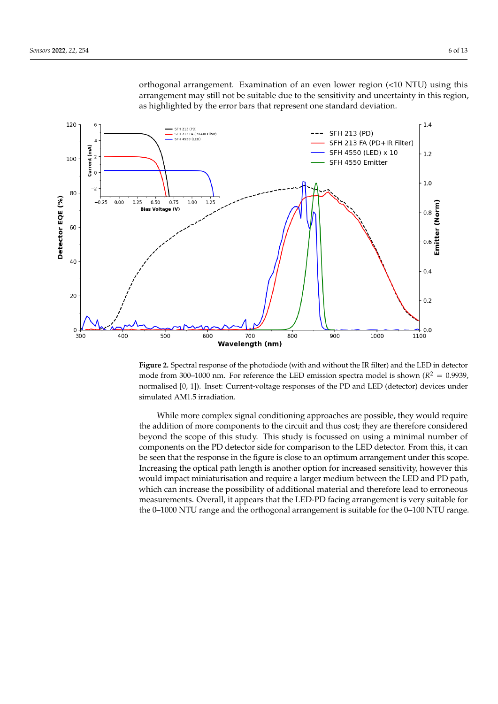

<span id="page-7-0"></span>orthogonal arrangement. Examination of an even lower region (<10 NTU) using this arrangement may still not be suitable due to the sensitivity and uncertainty in this region, as highlighted by the error bars that represent one standard deviation.

**Figure 2.** Spectral response of the photodiode (with and without the IR filter) and the LED in detector mode from 300–1000 nm. For reference the LED emission spectra model is shown ( $R^2 = 0.9939$ ) normalised [0, 1]). Inset: Current-voltage responses of the PD and LED (detector) devices under simulated AM1.5 irradiation.

While more complex signal conditioning approaches are possible, they would require the addition of more components to the circuit and thus cost; they are therefore considered beyond the scope of this study. This study is focussed on using a minimal number of components on the PD detector side for comparison to the LED detector. From this, it can be seen that the response in the figure is close to an optimum arrangement under this scope. Increasing the optical path length is another option for increased sensitivity, however this would impact miniaturisation and require a larger medium between the LED and PD path, which can increase the possibility of additional material and therefore lead to erroneous measurements. Overall, it appears that the LED-PD facing arrangement is very suitable for the 0–1000 NTU range and the orthogonal arrangement is suitable for the 0–100 NTU range.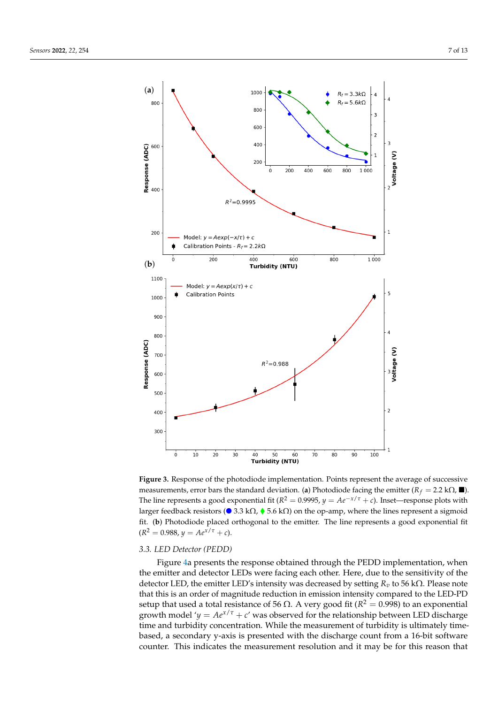<span id="page-8-0"></span>

**Figure 3.** Response of the photodiode implementation. Points represent the average of successive measurements, error bars the standard deviation. (**a**) Photodiode facing the emitter  $(R_f = 2.2 \text{ k}\Omega, \blacksquare)$ . The line represents a good exponential fit ( $R^2 = 0.9995$ ,  $y = Ae^{-x/\tau} + c$ ). Inset—response plots with larger feedback resistors ( $\bullet$  3.3 k $\Omega$ ,  $\bullet$  5.6 k $\Omega$ ) on the op-amp, where the lines represent a sigmoid fit. (**b**) Photodiode placed orthogonal to the emitter. The line represents a good exponential fit  $(R^2 = 0.988, y = Ae^{x/\tau} + c).$ 

## *3.3. LED Detector (PEDD)*

Figure [4a](#page-9-0) presents the response obtained through the PEDD implementation, when the emitter and detector LEDs were facing each other. Here, due to the sensitivity of the detector LED, the emitter LED's intensity was decreased by setting *R<sup>v</sup>* to 56 kΩ. Please note that this is an order of magnitude reduction in emission intensity compared to the LED-PD setup that used a total resistance of 56 Ω. A very good fit ( $R^2 = 0.998$ ) to an exponential growth model ' $y = Ae^{x/\tau} + c'$  was observed for the relationship between LED discharge time and turbidity concentration. While the measurement of turbidity is ultimately timebased, a secondary y-axis is presented with the discharge count from a 16-bit software counter. This indicates the measurement resolution and it may be for this reason that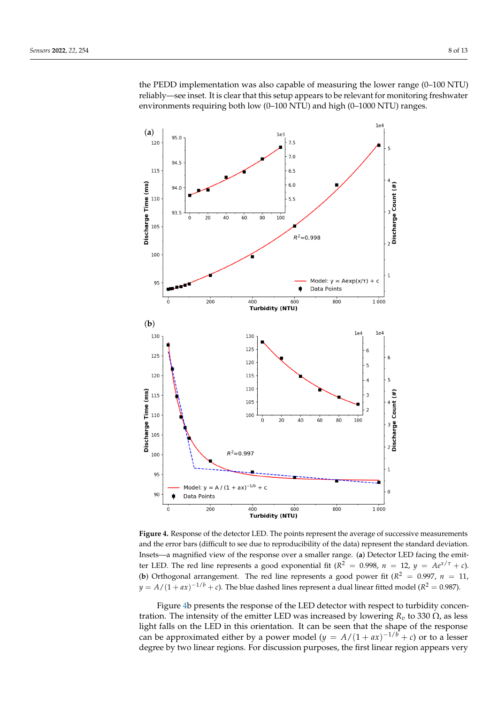the PEDD implementation was also capable of measuring the lower range (0–100 NTU) reliably—see inset. It is clear that this setup appears to be relevant for monitoring freshwater environments requiring both low (0–100 NTU) and high (0–1000 NTU) ranges.

<span id="page-9-0"></span>

**Figure 4.** Response of the detector LED. The points represent the average of successive measurements and the error bars (difficult to see due to reproducibility of the data) represent the standard deviation. Insets—a magnified view of the response over a smaller range. (**a**) Detector LED facing the emitter LED. The red line represents a good exponential fit ( $R^2 = 0.998$ ,  $n = 12$ ,  $y = Ae^{x/\tau} + c$ ). (**b**) Orthogonal arrangement. The red line represents a good power fit ( $R^2 = 0.997$ ,  $n = 11$ ,  $y = A/(1 + ax)^{-1/b} + c$ ). The blue dashed lines represent a dual linear fitted model ( $R^2 = 0.987$ ).

Figure [4b](#page-9-0) presents the response of the LED detector with respect to turbidity concentration. The intensity of the emitter LED was increased by lowering  $R<sub>v</sub>$  to 330 Ω, as less light falls on the LED in this orientation. It can be seen that the shape of the response can be approximated either by a power model  $(y = A/(1 + ax)^{-1/b} + c)$  or to a lesser degree by two linear regions. For discussion purposes, the first linear region appears very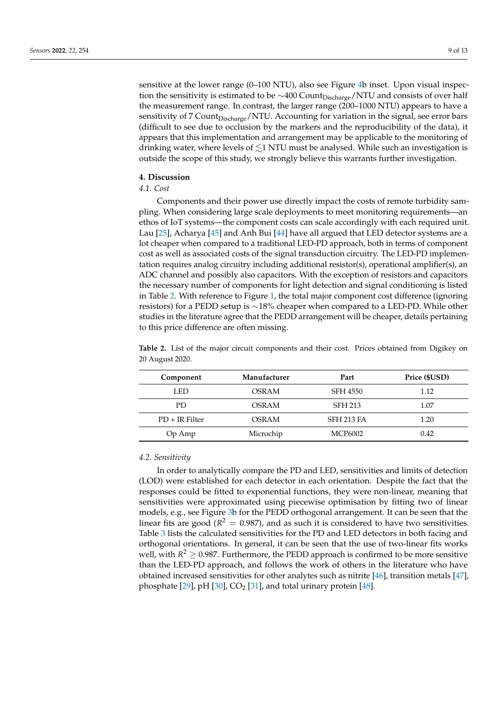sensitive at the lower range (0–100 NTU), also see Figure [4b](#page-9-0) inset. Upon visual inspection the sensitivity is estimated to be  $\sim$ 400 Count<sub>Discharge</sub>/NTU and consists of over half the measurement range. In contrast, the larger range (200–1000 NTU) appears to have a sensitivity of 7 Count<sub>Discharge</sub>/NTU. Accounting for variation in the signal, see error bars (difficult to see due to occlusion by the markers and the reproducibility of the data), it appears that this implementation and arrangement may be applicable to the monitoring of drinking water, where levels of  $\lesssim$ 1 NTU must be analysed. While such an investigation is outside the scope of this study, we strongly believe this warrants further investigation.

# **4. Discussion**

# *4.1. Cost*

Components and their power use directly impact the costs of remote turbidity sampling. When considering large scale deployments to meet monitoring requirements—an ethos of IoT systems—the component costs can scale accordingly with each required unit. Lau [\[25\]](#page-13-20), Acharya [\[45\]](#page-14-13) and Anh Bui [\[44\]](#page-14-12) have all argued that LED detector systems are a lot cheaper when compared to a traditional LED-PD approach, both in terms of component cost as well as associated costs of the signal transduction circuitry. The LED-PD implementation requires analog circuitry including additional resistor(s), operational amplifier(s), an ADC channel and possibly also capacitors. With the exception of resistors and capacitors the necessary number of components for light detection and signal conditioning is listed in Table [2.](#page-10-0) With reference to Figure [1,](#page-5-0) the total major component cost difference (ignoring resistors) for a PEDD setup is ∼18% cheaper when compared to a LED-PD. While other studies in the literature agree that the PEDD arrangement will be cheaper, details pertaining to this price difference are often missing.

| Component        | Manufacturer | Part              | Price (\$USD) |
|------------------|--------------|-------------------|---------------|
| LED              | OSRAM        | <b>SFH 4550</b>   | 1.12          |
| PD.              | OSRAM        | <b>SFH 213</b>    | 1.07          |
| $PD + IR$ Filter | OSRAM        | <b>SFH 213 FA</b> | 1.20          |
| Op Amp           | Microchip    | MCP6002           | 0.42          |

<span id="page-10-0"></span>**Table 2.** List of the major circuit components and their cost. Prices obtained from Digikey on 20 August 2020.

# *4.2. Sensitivity*

In order to analytically compare the PD and LED, sensitivities and limits of detection (LOD) were established for each detector in each orientation. Despite the fact that the responses could be fitted to exponential functions, they were non-linear, meaning that sensitivities were approximated using piecewise optimisation by fitting two of linear models, e.g., see Figure [3b](#page-8-0) for the PEDD orthogonal arrangement. It can be seen that the linear fits are good ( $R^2 = 0.987$ ), and as such it is considered to have two sensitivities. Table [3](#page-11-0) lists the calculated sensitivities for the PD and LED detectors in both facing and orthogonal orientations. In general, it can be seen that the use of two-linear fits works well, with  $R^2 \geq 0.987$ . Furthermore, the PEDD approach is confirmed to be more sensitive than the LED-PD approach, and follows the work of others in the literature who have obtained increased sensitivities for other analytes such as nitrite [\[46\]](#page-14-14), transition metals [\[47\]](#page-14-15), phosphate  $[29]$ , pH  $[30]$ , CO<sub>2</sub>  $[31]$ , and total urinary protein  $[48]$ .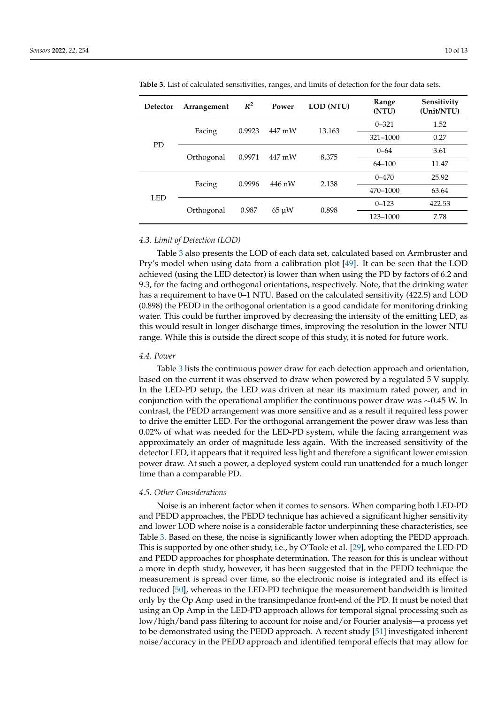| Detector   | Arrangement | $R^2$  | Power      | LOD (NTU) | Range<br>(NTU) | Sensitivity<br>(Unit/NTU) |
|------------|-------------|--------|------------|-----------|----------------|---------------------------|
| <b>PD</b>  | Facing      | 0.9923 | 447 mW     | 13.163    | $0 - 321$      | 1.52                      |
|            |             |        |            |           | $321 - 1000$   | 0.27                      |
|            | Orthogonal  | 0.9971 | 447 mW     | 8.375     | $0 - 64$       | 3.61                      |
|            |             |        |            |           | $64 - 100$     | 11.47                     |
| <b>LED</b> | Facing      | 0.9996 | 446 nW     | 2.138     | $0 - 470$      | 25.92                     |
|            |             |        |            |           | 470-1000       | 63.64                     |
|            | Orthogonal  | 0.987  | $65 \mu W$ | 0.898     | $0 - 123$      | 422.53                    |
|            |             |        |            |           | 123-1000       | 7.78                      |

<span id="page-11-0"></span>**Table 3.** List of calculated sensitivities, ranges, and limits of detection for the four data sets.

### *4.3. Limit of Detection (LOD)*

Table [3](#page-11-0) also presents the LOD of each data set, calculated based on Armbruster and Pry's model when using data from a calibration plot [\[49\]](#page-14-17). It can be seen that the LOD achieved (using the LED detector) is lower than when using the PD by factors of 6.2 and 9.3, for the facing and orthogonal orientations, respectively. Note, that the drinking water has a requirement to have 0–1 NTU. Based on the calculated sensitivity (422.5) and LOD (0.898) the PEDD in the orthogonal orientation is a good candidate for monitoring drinking water. This could be further improved by decreasing the intensity of the emitting LED, as this would result in longer discharge times, improving the resolution in the lower NTU range. While this is outside the direct scope of this study, it is noted for future work.

#### *4.4. Power*

Table [3](#page-11-0) lists the continuous power draw for each detection approach and orientation, based on the current it was observed to draw when powered by a regulated 5 V supply. In the LED-PD setup, the LED was driven at near its maximum rated power, and in conjunction with the operational amplifier the continuous power draw was ∼0.45 W. In contrast, the PEDD arrangement was more sensitive and as a result it required less power to drive the emitter LED. For the orthogonal arrangement the power draw was less than 0.02% of what was needed for the LED-PD system, while the facing arrangement was approximately an order of magnitude less again. With the increased sensitivity of the detector LED, it appears that it required less light and therefore a significant lower emission power draw. At such a power, a deployed system could run unattended for a much longer time than a comparable PD.

## *4.5. Other Considerations*

Noise is an inherent factor when it comes to sensors. When comparing both LED-PD and PEDD approaches, the PEDD technique has achieved a significant higher sensitivity and lower LOD where noise is a considerable factor underpinning these characteristics, see Table [3.](#page-11-0) Based on these, the noise is significantly lower when adopting the PEDD approach. This is supported by one other study, i.e., by O'Toole et al. [\[29\]](#page-13-24), who compared the LED-PD and PEDD approaches for phosphate determination. The reason for this is unclear without a more in depth study, however, it has been suggested that in the PEDD technique the measurement is spread over time, so the electronic noise is integrated and its effect is reduced [\[50\]](#page-14-18), whereas in the LED-PD technique the measurement bandwidth is limited only by the Op Amp used in the transimpedance front-end of the PD. It must be noted that using an Op Amp in the LED-PD approach allows for temporal signal processing such as low/high/band pass filtering to account for noise and/or Fourier analysis—a process yet to be demonstrated using the PEDD approach. A recent study [\[51\]](#page-14-19) investigated inherent noise/accuracy in the PEDD approach and identified temporal effects that may allow for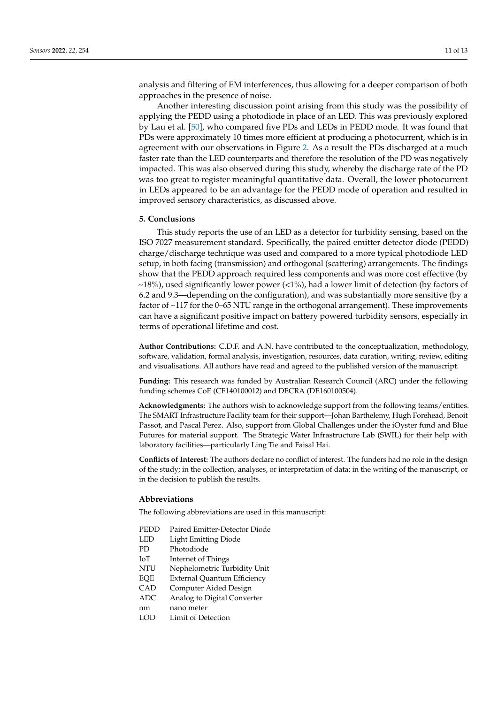analysis and filtering of EM interferences, thus allowing for a deeper comparison of both approaches in the presence of noise.

Another interesting discussion point arising from this study was the possibility of applying the PEDD using a photodiode in place of an LED. This was previously explored by Lau et al. [\[50\]](#page-14-18), who compared five PDs and LEDs in PEDD mode. It was found that PDs were approximately 10 times more efficient at producing a photocurrent, which is in agreement with our observations in Figure [2.](#page-7-0) As a result the PDs discharged at a much faster rate than the LED counterparts and therefore the resolution of the PD was negatively impacted. This was also observed during this study, whereby the discharge rate of the PD was too great to register meaningful quantitative data. Overall, the lower photocurrent in LEDs appeared to be an advantage for the PEDD mode of operation and resulted in improved sensory characteristics, as discussed above.

## **5. Conclusions**

This study reports the use of an LED as a detector for turbidity sensing, based on the ISO 7027 measurement standard. Specifically, the paired emitter detector diode (PEDD) charge/discharge technique was used and compared to a more typical photodiode LED setup, in both facing (transmission) and orthogonal (scattering) arrangements. The findings show that the PEDD approach required less components and was more cost effective (by  $~18\%$ ), used significantly lower power (<1%), had a lower limit of detection (by factors of 6.2 and 9.3—depending on the configuration), and was substantially more sensitive (by a factor of ~117 for the 0–65 NTU range in the orthogonal arrangement). These improvements can have a significant positive impact on battery powered turbidity sensors, especially in terms of operational lifetime and cost.

**Author Contributions:** C.D.F. and A.N. have contributed to the conceptualization, methodology, software, validation, formal analysis, investigation, resources, data curation, writing, review, editing and visualisations. All authors have read and agreed to the published version of the manuscript.

**Funding:** This research was funded by Australian Research Council (ARC) under the following funding schemes CoE (CE140100012) and DECRA (DE160100504).

**Acknowledgments:** The authors wish to acknowledge support from the following teams/entities. The SMART Infrastructure Facility team for their support—Johan Barthelemy, Hugh Forehead, Benoit Passot, and Pascal Perez. Also, support from Global Challenges under the iOyster fund and Blue Futures for material support. The Strategic Water Infrastructure Lab (SWIL) for their help with laboratory facilities—particularly Ling Tie and Faisal Hai.

**Conflicts of Interest:** The authors declare no conflict of interest. The funders had no role in the design of the study; in the collection, analyses, or interpretation of data; in the writing of the manuscript, or in the decision to publish the results.

# **Abbreviations**

The following abbreviations are used in this manuscript:

- PEDD Paired Emitter-Detector Diode
- LED Light Emitting Diode
- PD Photodiode
- IoT Internet of Things
- NTU Nephelometric Turbidity Unit
- EQE External Quantum Efficiency
- CAD Computer Aided Design
- ADC Analog to Digital Converter
- nm nano meter
- LOD Limit of Detection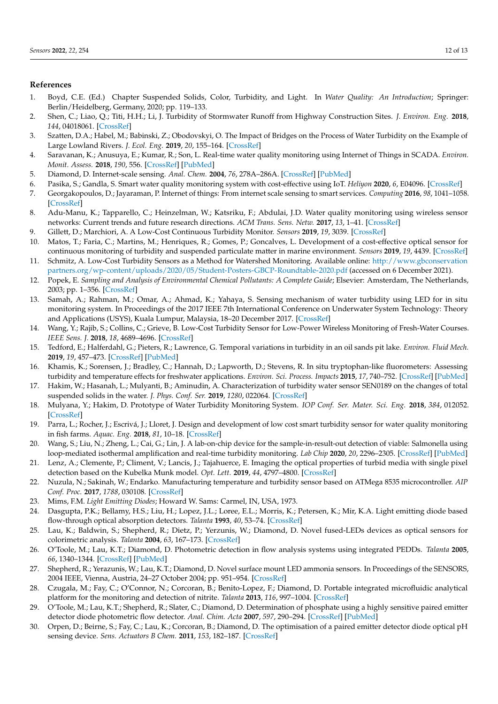# **References**

- <span id="page-13-0"></span>1. Boyd, C.E. (Ed.) Chapter Suspended Solids, Color, Turbidity, and Light. In *Water Quality: An Introduction*; Springer: Berlin/Heidelberg, Germany, 2020; pp. 119–133.
- <span id="page-13-1"></span>2. Shen, C.; Liao, Q.; Titi, H.H.; Li, J. Turbidity of Stormwater Runoff from Highway Construction Sites. *J. Environ. Eng.* **2018**, *144*, 04018061. [\[CrossRef\]](http://doi.org/10.1061/(ASCE)EE.1943-7870.0001407)
- <span id="page-13-2"></span>3. Szatten, D.A.; Habel, M.; Babinski, Z.; Obodovskyi, O. The Impact of Bridges on the Process of Water Turbidity on the Example of Large Lowland Rivers. *J. Ecol. Eng.* **2019**, *20*, 155–164. [\[CrossRef\]](http://dx.doi.org/10.12911/22998993/113148)
- <span id="page-13-3"></span>4. Saravanan, K.; Anusuya, E.; Kumar, R.; Son, L. Real-time water quality monitoring using Internet of Things in SCADA. *Environ. Monit. Assess.* **2018**, *190*, 556. [\[CrossRef\]](http://dx.doi.org/10.1007/s10661-018-6914-x) [\[PubMed\]](http://www.ncbi.nlm.nih.gov/pubmed/30159608)
- <span id="page-13-4"></span>5. Diamond, D. Internet-scale sensing. *Anal. Chem.* **2004**, *76*, 278A–286A. [\[CrossRef\]](http://dx.doi.org/10.1021/ac041598m) [\[PubMed\]](http://www.ncbi.nlm.nih.gov/pubmed/15326723)
- <span id="page-13-5"></span>6. Pasika, S.; Gandla, S. Smart water quality monitoring system with cost-effective using IoT. *Heliyon* **2020**, *6*, E04096. [\[CrossRef\]](http://dx.doi.org/10.1016/j.heliyon.2020.e04096)
- <span id="page-13-6"></span>7. Georgakopoulos, D.; Jayaraman, P. Internet of things: From internet scale sensing to smart services. *Computing* **2016**, *98*, 1041–1058. [\[CrossRef\]](http://dx.doi.org/10.1007/s00607-016-0510-0)
- <span id="page-13-7"></span>8. Adu-Manu, K.; Tapparello, C.; Heinzelman, W.; Katsriku, F.; Abdulai, J.D. Water quality monitoring using wireless sensor networks: Current trends and future research directions. *ACM Trans. Sens. Netw.* **2017**, *13*, 1–41. [\[CrossRef\]](http://dx.doi.org/10.1145/3005719)
- <span id="page-13-8"></span>9. Gillett, D.; Marchiori, A. A Low-Cost Continuous Turbidity Monitor. *Sensors* **2019**, *19*, 3039. [\[CrossRef\]](http://dx.doi.org/10.3390/s19143039)
- 10. Matos, T.; Faria, C.; Martins, M.; Henriques, R.; Gomes, P.; Goncalves, L. Development of a cost-effective optical sensor for continuous monitoring of turbidity and suspended particulate matter in marine environment. *Sensors* **2019**, *19*, 4439. [\[CrossRef\]](http://dx.doi.org/10.3390/s19204439)
- <span id="page-13-9"></span>11. Schmitz, A. Low-Cost Turbidity Sensors as a Method for Watershed Monitoring. Available online: [http://www.gbconservation](http://www.gbconservationpartners.org/wp-content/uploads/2020/05/Student-Posters-GBCP-Roundtable-2020.pdf) [partners.org/wp-content/uploads/2020/05/Student-Posters-GBCP-Roundtable-2020.pdf](http://www.gbconservationpartners.org/wp-content/uploads/2020/05/Student-Posters-GBCP-Roundtable-2020.pdf) (accessed on 6 December 2021).
- <span id="page-13-10"></span>12. Popek, E. *Sampling and Analysis of Environmental Chemical Pollutants: A Complete Guide*; Elsevier: Amsterdam, The Netherlands, 2003; pp. 1–356. [\[CrossRef\]](http://dx.doi.org/10.1016/B978-0-12-561540-2.X5000-X)
- <span id="page-13-11"></span>13. Samah, A.; Rahman, M.; Omar, A.; Ahmad, K.; Yahaya, S. Sensing mechanism of water turbidity using LED for in situ monitoring system. In Proceedings of the 2017 IEEE 7th International Conference on Underwater System Technology: Theory and Applications (USYS), Kuala Lumpur, Malaysia, 18–20 December 2017. [\[CrossRef\]](http://dx.doi.org/10.1109/USYS.2017.8309443)
- <span id="page-13-12"></span>14. Wang, Y.; Rajib, S.; Collins, C.; Grieve, B. Low-Cost Turbidity Sensor for Low-Power Wireless Monitoring of Fresh-Water Courses. *IEEE Sens. J.* **2018**, *18*, 4689–4696. [\[CrossRef\]](http://dx.doi.org/10.1109/JSEN.2018.2826778)
- <span id="page-13-13"></span>15. Tedford, E.; Halferdahl, G.; Pieters, R.; Lawrence, G. Temporal variations in turbidity in an oil sands pit lake. *Environ. Fluid Mech.* **2019**, *19*, 457–473. [\[CrossRef\]](http://dx.doi.org/10.1007/s10652-018-9632-6) [\[PubMed\]](http://www.ncbi.nlm.nih.gov/pubmed/31148952)
- <span id="page-13-14"></span>16. Khamis, K.; Sorensen, J.; Bradley, C.; Hannah, D.; Lapworth, D.; Stevens, R. In situ tryptophan-like fluorometers: Assessing turbidity and temperature effects for freshwater applications. *Environ. Sci. Process. Impacts* **2015**, *17*, 740–752. [\[CrossRef\]](http://dx.doi.org/10.1039/C5EM00030K) [\[PubMed\]](http://www.ncbi.nlm.nih.gov/pubmed/25756677)
- <span id="page-13-15"></span>17. Hakim, W.; Hasanah, L.; Mulyanti, B.; Aminudin, A. Characterization of turbidity water sensor SEN0189 on the changes of total suspended solids in the water. *J. Phys. Conf. Ser.* **2019**, *1280*, 022064. [\[CrossRef\]](http://dx.doi.org/10.1088/1742-6596/1280/2/022064)
- <span id="page-13-16"></span>18. Mulyana, Y.; Hakim, D. Prototype of Water Turbidity Monitoring System. *IOP Conf. Ser. Mater. Sci. Eng.* **2018**, *384*, 012052. [\[CrossRef\]](http://dx.doi.org/10.1088/1757-899X/384/1/012052)
- 19. Parra, L.; Rocher, J.; Escrivá, J.; Lloret, J. Design and development of low cost smart turbidity sensor for water quality monitoring in fish farms. *Aquac. Eng.* **2018**, *81*, 10–18. [\[CrossRef\]](http://dx.doi.org/10.1016/j.aquaeng.2018.01.004)
- 20. Wang, S.; Liu, N.; Zheng, L.; Cai, G.; Lin, J. A lab-on-chip device for the sample-in-result-out detection of viable: Salmonella using loop-mediated isothermal amplification and real-time turbidity monitoring. *Lab Chip* **2020**, *20*, 2296–2305. [\[CrossRef\]](http://dx.doi.org/10.1039/D0LC00290A) [\[PubMed\]](http://www.ncbi.nlm.nih.gov/pubmed/32484172)
- 21. Lenz, A.; Clemente, P.; Climent, V.; Lancis, J.; Tajahuerce, E. Imaging the optical properties of turbid media with single pixel detection based on the Kubelka Munk model. *Opt. Lett.* **2019**, *44*, 4797–4800. [\[CrossRef\]](http://dx.doi.org/10.1364/OL.44.004797)
- <span id="page-13-17"></span>22. Nuzula, N.; Sakinah, W.; Endarko. Manufacturing temperature and turbidity sensor based on ATMega 8535 microcontroller. *AIP Conf. Proc.* **2017**, *1788*, 030108. [\[CrossRef\]](http://dx.doi.org/10.1063/1.4968361)
- <span id="page-13-18"></span>23. Mims, F.M. *Light Emitting Diodes*; Howard W. Sams: Carmel, IN, USA, 1973.
- <span id="page-13-19"></span>24. Dasgupta, P.K.; Bellamy, H.S.; Liu, H.; Lopez, J.L.; Loree, E.L.; Morris, K.; Petersen, K.; Mir, K.A. Light emitting diode based flow-through optical absorption detectors. *Talanta* **1993**, *40*, 53–74. [\[CrossRef\]](http://dx.doi.org/10.1016/0039-9140(93)80142-E)
- <span id="page-13-20"></span>25. Lau, K.; Baldwin, S.; Shepherd, R.; Dietz, P.; Yerzunis, W.; Diamond, D. Novel fused-LEDs devices as optical sensors for colorimetric analysis. *Talanta* **2004**, *63*, 167–173. [\[CrossRef\]](http://dx.doi.org/10.1016/j.talanta.2003.10.034)
- <span id="page-13-21"></span>26. O'Toole, M.; Lau, K.T.; Diamond, D. Photometric detection in flow analysis systems using integrated PEDDs. *Talanta* **2005**, *66*, 1340–1344. [\[CrossRef\]](http://dx.doi.org/10.1016/j.talanta.2005.01.054) [\[PubMed\]](http://www.ncbi.nlm.nih.gov/pubmed/18970127)
- <span id="page-13-22"></span>27. Shepherd, R.; Yerazunis, W.; Lau, K.T.; Diamond, D. Novel surface mount LED ammonia sensors. In Proceedings of the SENSORS, 2004 IEEE, Vienna, Austria, 24–27 October 2004; pp. 951–954. [\[CrossRef\]](http://dx.doi.org/10.1109/ICSENS.2004.1426329)
- <span id="page-13-23"></span>28. Czugala, M.; Fay, C.; O'Connor, N.; Corcoran, B.; Benito-Lopez, F.; Diamond, D. Portable integrated microfluidic analytical platform for the monitoring and detection of nitrite. *Talanta* **2013**, *116*, 997–1004. [\[CrossRef\]](http://dx.doi.org/10.1016/j.talanta.2013.07.058)
- <span id="page-13-24"></span>29. O'Toole, M.; Lau, K.T.; Shepherd, R.; Slater, C.; Diamond, D. Determination of phosphate using a highly sensitive paired emitter detector diode photometric flow detector. *Anal. Chim. Acta* **2007**, *597*, 290–294. [\[CrossRef\]](http://dx.doi.org/10.1016/j.aca.2007.06.048) [\[PubMed\]](http://www.ncbi.nlm.nih.gov/pubmed/17683741)
- <span id="page-13-25"></span>30. Orpen, D.; Beirne, S.; Fay, C.; Lau, K.; Corcoran, B.; Diamond, D. The optimisation of a paired emitter detector diode optical pH sensing device. *Sens. Actuators B Chem.* **2011**, *153*, 182–187. [\[CrossRef\]](http://dx.doi.org/10.1016/j.snb.2010.10.007)